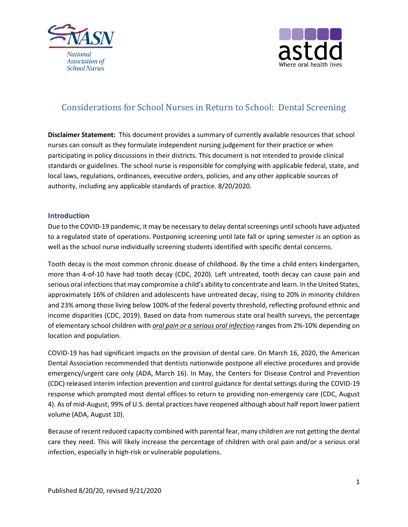



# Considerations for School Nurses in Return to School: Dental Screening

**Disclaimer Statement:** This document provides a summary of currently available resources that school nurses can consult as they formulate independent nursing judgement for their practice or when participating in policy discussions in their districts. This document is not intended to provide clinical standards or guidelines. The school nurse is responsible for complying with applicable federal, state, and local laws, regulations, ordinances, executive orders, policies, and any other applicable sources of authority, including any applicable standards of practice. 8/20/2020.

# **Introduction**

Due to the COVID-19 pandemic, it may be necessary to delay dental screenings until schools have adjusted to a regulated state of operations. Postponing screening until late fall or spring semester is an option as well as the school nurse individually screening students identified with specific dental concerns.

Tooth decay is the most common chronic disease of childhood. By the time a child enters kindergarten, more than 4-of-10 have had tooth decay (CDC, 2020). Left untreated, tooth decay can cause pain and serious oral infections that may compromise a child's ability to concentrate and learn. In the United States, approximately 16% of children and adolescents have untreated decay, rising to 20% in minority children and 23% among those living below 100% of the federal poverty threshold, reflecting profound ethnic and income disparities (CDC, 2019). Based on data from numerous state oral health surveys, the percentage of elementary school children with *oral pain or a serious oral infection* ranges from 2%-10% depending on location and population.

COVID-19 has had significant impacts on the provision of dental care. On March 16, 2020, the American Dental Association recommended that dentists nationwide postpone all elective procedures and provide emergency/urgent care only (ADA, March 16). In May, the Centers for Disease Control and Prevention (CDC) released interim infection prevention and control guidance for dental settings during the COVID-19 response which prompted most dental offices to return to providing non-emergency care (CDC, August 4). As of mid-August, 99% of U.S. dental practices have reopened although about half report lower patient volume (ADA, August 10).

Because of recent reduced capacity combined with parental fear, many children are not getting the dental care they need. This will likely increase the percentage of children with oral pain and/or a serious oral infection, especially in high-risk or vulnerable populations.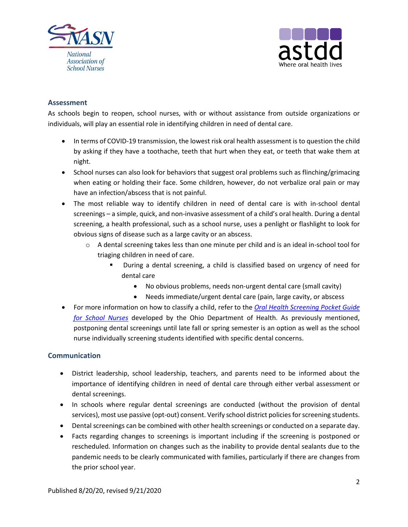



## **Assessment**

As schools begin to reopen, school nurses, with or without assistance from outside organizations or individuals, will play an essential role in identifying children in need of dental care.

- In terms of COVID-19 transmission, the lowest risk oral health assessment is to question the child by asking if they have a toothache, teeth that hurt when they eat, or teeth that wake them at night.
- School nurses can also look for behaviors that suggest oral problems such as flinching/grimacing when eating or holding their face. Some children, however, do not verbalize oral pain or may have an infection/abscess that is not painful.
- The most reliable way to identify children in need of dental care is with in-school dental screenings – a simple, quick, and non-invasive assessment of a child's oral health. During a dental screening, a health professional, such as a school nurse, uses a penlight or flashlight to look for obvious signs of disease such as a large cavity or an abscess.
	- o A dental screening takes less than one minute per child and is an ideal in-school tool for triaging children in need of care.
		- During a dental screening, a child is classified based on urgency of need for dental care
			- No obvious problems, needs non-urgent dental care (small cavity)
			- Needs immediate/urgent dental care (pain, large cavity, or abscess
- For more information on how to classify a child, refer to the *[Oral Health Screening Pocket Guide](https://www.mchoralhealth.org/materials/multiples/SchoolScreening/PocketGuide.pdf)  [for School Nurses](https://www.mchoralhealth.org/materials/multiples/SchoolScreening/PocketGuide.pdf)* developed by the Ohio Department of Health. As previously mentioned, postponing dental screenings until late fall or spring semester is an option as well as the school nurse individually screening students identified with specific dental concerns.

## **Communication**

- District leadership, school leadership, teachers, and parents need to be informed about the importance of identifying children in need of dental care through either verbal assessment or dental screenings.
- In schools where regular dental screenings are conducted (without the provision of dental services), most use passive (opt-out) consent. Verify school district policies for screening students.
- Dental screenings can be combined with other health screenings or conducted on a separate day.
- Facts regarding changes to screenings is important including if the screening is postponed or rescheduled. Information on changes such as the inability to provide dental sealants due to the pandemic needs to be clearly communicated with families, particularly if there are changes from the prior school year.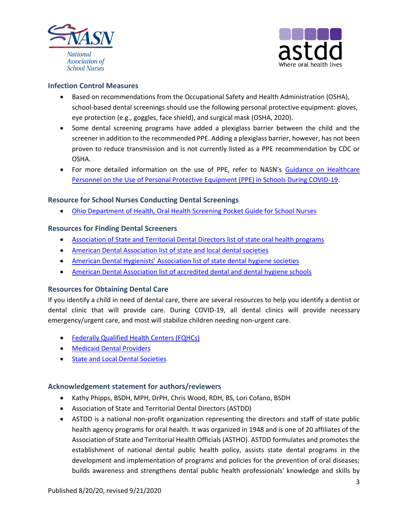



# **Infection Control Measures**

- Based on recommendations from the Occupational Safety and Health Administration (OSHA), school-based dental screenings should use the following personal protective equipment: gloves, eye protection (e.g., goggles, face shield), and surgical mask (OSHA, 2020).
- Some dental screening programs have added a plexiglass barrier between the child and the screener in addition to the recommended PPE. Adding a plexiglass barrier, however, has not been proven to reduce transmission and is not currently listed as a PPE recommendation by CDC or OSHA.
- For more detailed information on the use of PPE, refer to NASN's [Guidance on Healthcare](https://higherlogicdownload.s3.amazonaws.com/NASN/3870c72d-fff9-4ed7-833f-215de278d256/UploadedImages/PDFs/Guidance-for-Healthcare-Personnel-on-PPE-Use-in-Schools.pdf)  [Personnel on the Use of Personal Protective Equipment \(PPE\) in Schools During COVID-19.](https://higherlogicdownload.s3.amazonaws.com/NASN/3870c72d-fff9-4ed7-833f-215de278d256/UploadedImages/PDFs/Guidance-for-Healthcare-Personnel-on-PPE-Use-in-Schools.pdf)

## **Resource for School Nurses Conducting Dental Screenings**

• [Ohio Department of Health, Oral Health Screening Pocket Guide for School Nurses](https://www.mchoralhealth.org/materials/multiples/SchoolScreening/PocketGuide.pdf)

## **Resources for Finding Dental Screeners**

- [Association of State and Territorial Dental Directors list of state oral health programs](https://www.astdd.org/state-programs/)
- [American Dental Association list of state and local dental societies](https://ebusiness.ada.org/mystate.aspx)
- American Dental [Hygienists' Association list of state dental hygiene societies](https://www.adha.org/national-state-local-organizations)
- [American Dental Association list of accredited dental and dental hygiene schools](https://www.ada.org/en/coda/find-a-program/search-dental-programs#t=us&sort=%40codastatecitysort%20ascending)

## **Resources for Obtaining Dental Care**

If you identify a child in need of dental care, there are several resources to help you identify a dentist or dental clinic that will provide care. During COVID-19, all dental clinics will provide necessary emergency/urgent care, and most will stabilize children needing non-urgent care.

- [Federally Qualified Health Centers \(FQHCs\)](https://findahealthcenter.hrsa.gov/)
- [Medicaid Dental Providers](https://www.insurekidsnow.gov/find-a-dentist/index.html)
- [State and Local Dental Societies](https://ebusiness.ada.org/mystate.aspx)

## **Acknowledgement statement for authors/reviewers**

- Kathy Phipps, BSDH, MPH, DrPH, Chris Wood, RDH, BS, Lori Cofano, BSDH
- Association of State and Territorial Dental Directors (ASTDD)
- ASTDD is a national non-profit organization representing the directors and staff of state public health agency programs for oral health. It was organized in 1948 and is one of 20 affiliates of the Association of State and Territorial Health Officials (ASTHO). ASTDD formulates and promotes the establishment of national dental public health policy, assists state dental programs in the development and implementation of programs and policies for the prevention of oral diseases; builds awareness and strengthens dental public health professionals' knowledge and skills by